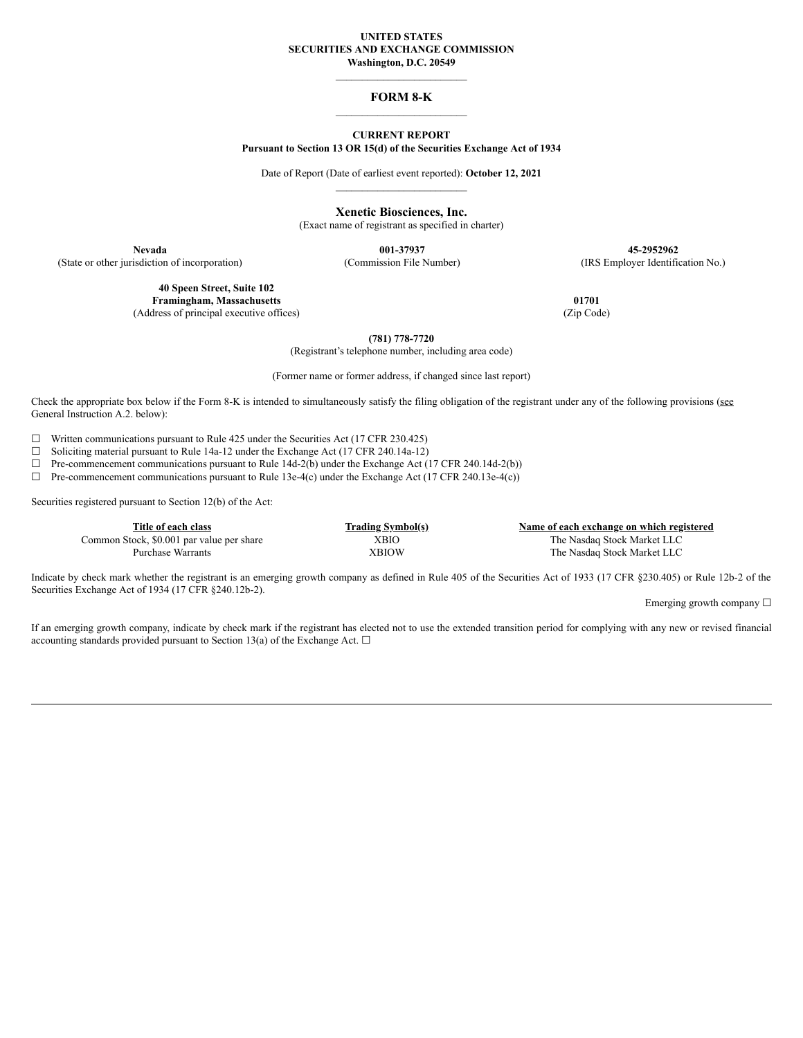#### **UNITED STATES SECURITIES AND EXCHANGE COMMISSION Washington, D.C. 20549**

# $\mathcal{L}_\text{max}$ **FORM 8-K**  $\mathcal{L}_\text{max}$

### **CURRENT REPORT Pursuant to Section 13 OR 15(d) of the Securities Exchange Act of 1934**

Date of Report (Date of earliest event reported): **October 12, 2021**  $\mathcal{L}_\text{max}$  and  $\mathcal{L}_\text{max}$  and  $\mathcal{L}_\text{max}$ 

**Xenetic Biosciences, Inc.**

(Exact name of registrant as specified in charter)

**40 Speen Street, Suite 102 Framingham, Massachusetts 01701** (Address of principal executive offices) (Zip Code)

**Nevada 001-37937 45-2952962** (State or other jurisdiction of incorporation) (Commission File Number) (IRS Employer Identification No.)

**(781) 778-7720**

(Registrant's telephone number, including area code)

(Former name or former address, if changed since last report)

Check the appropriate box below if the Form 8-K is intended to simultaneously satisfy the filing obligation of the registrant under any of the following provisions (see General Instruction A.2. below):

 $\Box$  Written communications pursuant to Rule 425 under the Securities Act (17 CFR 230.425)

☐ Soliciting material pursuant to Rule 14a-12 under the Exchange Act (17 CFR 240.14a-12)

 $\Box$  Pre-commencement communications pursuant to Rule 14d-2(b) under the Exchange Act (17 CFR 240.14d-2(b))

 $\Box$  Pre-commencement communications pursuant to Rule 13e-4(c) under the Exchange Act (17 CFR 240.13e-4(c))

Securities registered pursuant to Section 12(b) of the Act:

| Title of each class                       | <b>Trading Symbol(s)</b> | Name of each exchange on which registered |
|-------------------------------------------|--------------------------|-------------------------------------------|
| Common Stock, \$0.001 par value per share | <b>XBIO</b>              | The Nasdaq Stock Market LLC               |
| Purchase Warrants                         | XBIOW                    | The Nasdaq Stock Market LLC               |

Indicate by check mark whether the registrant is an emerging growth company as defined in Rule 405 of the Securities Act of 1933 (17 CFR §230.405) or Rule 12b-2 of the Securities Exchange Act of 1934 (17 CFR §240.12b-2).

Emerging growth company  $\Box$ 

If an emerging growth company, indicate by check mark if the registrant has elected not to use the extended transition period for complying with any new or revised financial accounting standards provided pursuant to Section 13(a) of the Exchange Act.  $\Box$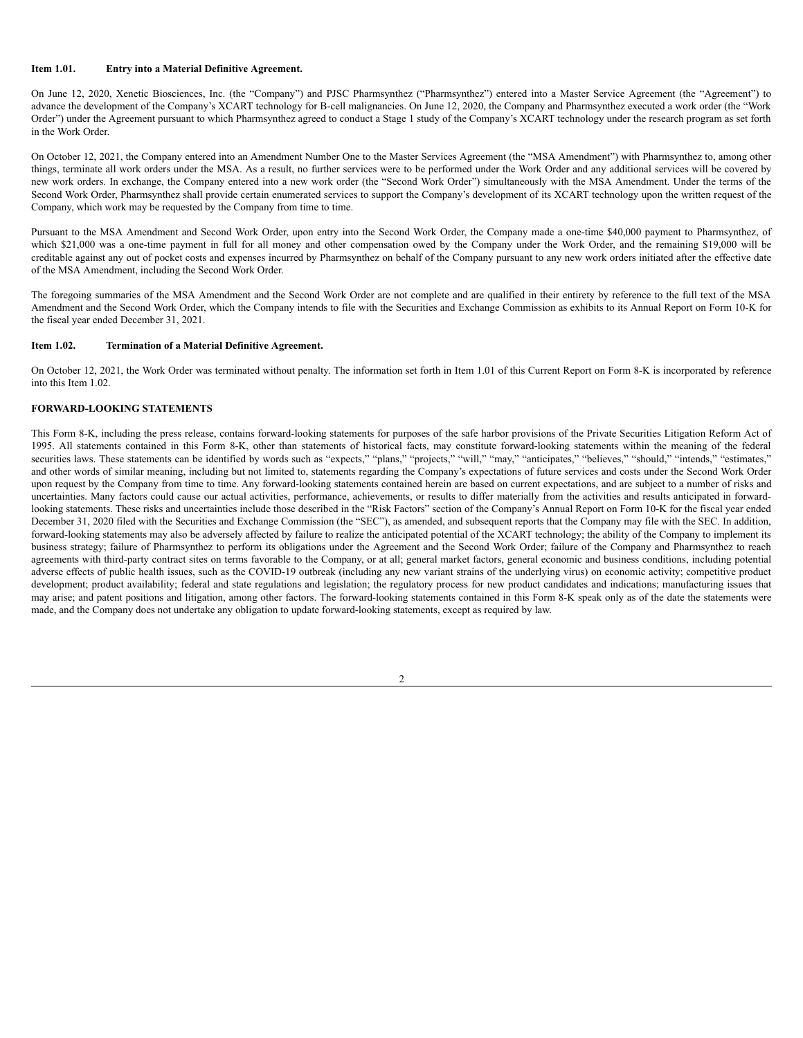#### **Item 1.01. Entry into a Material Definitive Agreement.**

On June 12, 2020, Xenetic Biosciences, Inc. (the "Company") and PJSC Pharmsynthez ("Pharmsynthez") entered into a Master Service Agreement (the "Agreement") to advance the development of the Company's XCART technology for B-cell malignancies. On June 12, 2020, the Company and Pharmsynthez executed a work order (the "Work Order") under the Agreement pursuant to which Pharmsynthez agreed to conduct a Stage 1 study of the Company's XCART technology under the research program as set forth in the Work Order.

On October 12, 2021, the Company entered into an Amendment Number One to the Master Services Agreement (the "MSA Amendment") with Pharmsynthez to, among other things, terminate all work orders under the MSA. As a result, no further services were to be performed under the Work Order and any additional services will be covered by new work orders. In exchange, the Company entered into a new work order (the "Second Work Order") simultaneously with the MSA Amendment. Under the terms of the Second Work Order, Pharmsynthez shall provide certain enumerated services to support the Company's development of its XCART technology upon the written request of the Company, which work may be requested by the Company from time to time.

Pursuant to the MSA Amendment and Second Work Order, upon entry into the Second Work Order, the Company made a one-time \$40,000 payment to Pharmsynthez, of which \$21,000 was a one-time payment in full for all money and other compensation owed by the Company under the Work Order, and the remaining \$19,000 will be creditable against any out of pocket costs and expenses incurred by Pharmsynthez on behalf of the Company pursuant to any new work orders initiated after the effective date of the MSA Amendment, including the Second Work Order.

The foregoing summaries of the MSA Amendment and the Second Work Order are not complete and are qualified in their entirety by reference to the full text of the MSA Amendment and the Second Work Order, which the Company intends to file with the Securities and Exchange Commission as exhibits to its Annual Report on Form 10-K for the fiscal year ended December 31, 2021.

#### **Item 1.02. Termination of a Material Definitive Agreement.**

On October 12, 2021, the Work Order was terminated without penalty. The information set forth in Item 1.01 of this Current Report on Form 8-K is incorporated by reference into this Item 1.02.

### **FORWARD-LOOKING STATEMENTS**

This Form 8-K, including the press release, contains forward-looking statements for purposes of the safe harbor provisions of the Private Securities Litigation Reform Act of 1995. All statements contained in this Form 8-K, other than statements of historical facts, may constitute forward-looking statements within the meaning of the federal securities laws. These statements can be identified by words such as "expects," "plans," "projects," "will," "may," "anticipates," "believes," "should," "intends," "estimates," and other words of similar meaning, including but not limited to, statements regarding the Company's expectations of future services and costs under the Second Work Order upon request by the Company from time to time. Any forward-looking statements contained herein are based on current expectations, and are subject to a number of risks and uncertainties. Many factors could cause our actual activities, performance, achievements, or results to differ materially from the activities and results anticipated in forwardlooking statements. These risks and uncertainties include those described in the "Risk Factors" section of the Company's Annual Report on Form 10-K for the fiscal year ended December 31, 2020 filed with the Securities and Exchange Commission (the "SEC"), as amended, and subsequent reports that the Company may file with the SEC. In addition, forward-looking statements may also be adversely affected by failure to realize the anticipated potential of the XCART technology; the ability of the Company to implement its business strategy; failure of Pharmsynthez to perform its obligations under the Agreement and the Second Work Order; failure of the Company and Pharmsynthez to reach agreements with third-party contract sites on terms favorable to the Company, or at all; general market factors, general economic and business conditions, including potential adverse effects of public health issues, such as the COVID-19 outbreak (including any new variant strains of the underlying virus) on economic activity; competitive product development; product availability; federal and state regulations and legislation; the regulatory process for new product candidates and indications; manufacturing issues that may arise; and patent positions and litigation, among other factors. The forward-looking statements contained in this Form 8-K speak only as of the date the statements were made, and the Company does not undertake any obligation to update forward-looking statements, except as required by law.